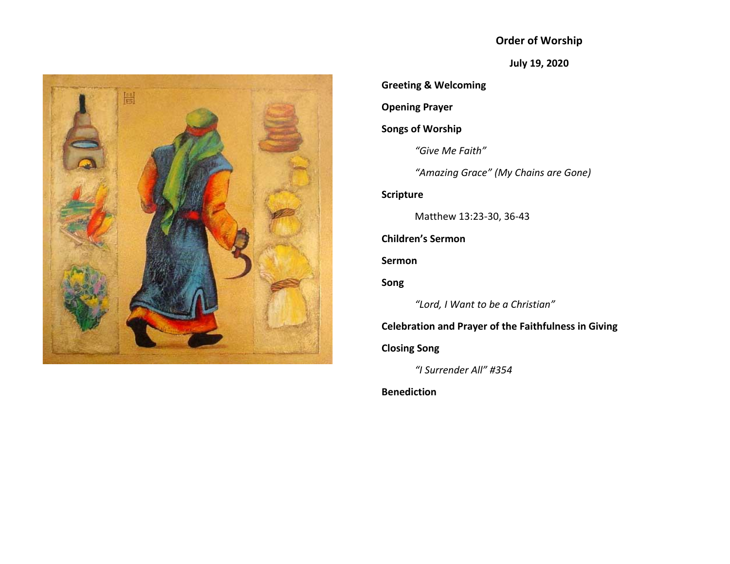## **Order of Worship**

**July 19, 2020**



**Greeting & Welcoming Opening Prayer Songs of Worship** *"Give Me Faith" "Amazing Grace" (My Chains are Gone)* **Scripture** Matthew 13:23-30, 36-43 **Children's Sermon Sermon Song** *"Lord, I Want to be a Christian"* **Celebration and Prayer of the Faithfulness in Giving Closing Song** *"I Surrender All" #354* **Benediction**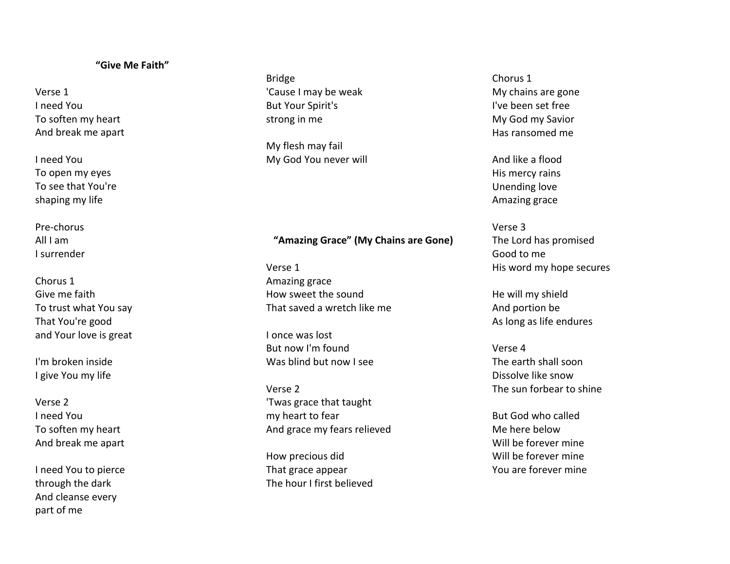## **"Give Me Faith"**

Verse 1 I need You To soften my heart And break me apart

I need You To open my eyes To see that You're shaping my life

Pre-chorus All I am I surrender

Chorus 1 Give me faith To trust what You say That You're good and Your love is great

I'm broken inside I give You my life

Verse 2 I need You To soften my heart And break me apart

I need You to pierce through the dark And cleanse every part of me

Bridge 'Cause I may be weak But Your Spirit's strong in me

My flesh may fail My God You never will

## **"Amazing Grace" (My Chains are Gone)**

Verse 1 Amazing grace How sweet the sound That saved a wretch like me

I once was lost But now I'm found Was blind but now I see

Verse 2 'Twas grace that taught my heart to fear And grace my fears relieved

How precious did That grace appear The hour I first believed

Chorus 1 My chains are gone I've been set free My God my Savior Has ransomed me

And like a flood His mercy rains Unending love Amazing grace

Verse 3 The Lord has promised Good to me His word my hope secures

He will my shield And portion be As long as life endures

Verse 4 The earth shall soon Dissolve like snow The sun forbear to shine

But God who called Me here below Will be forever mine Will be forever mine You are forever mine